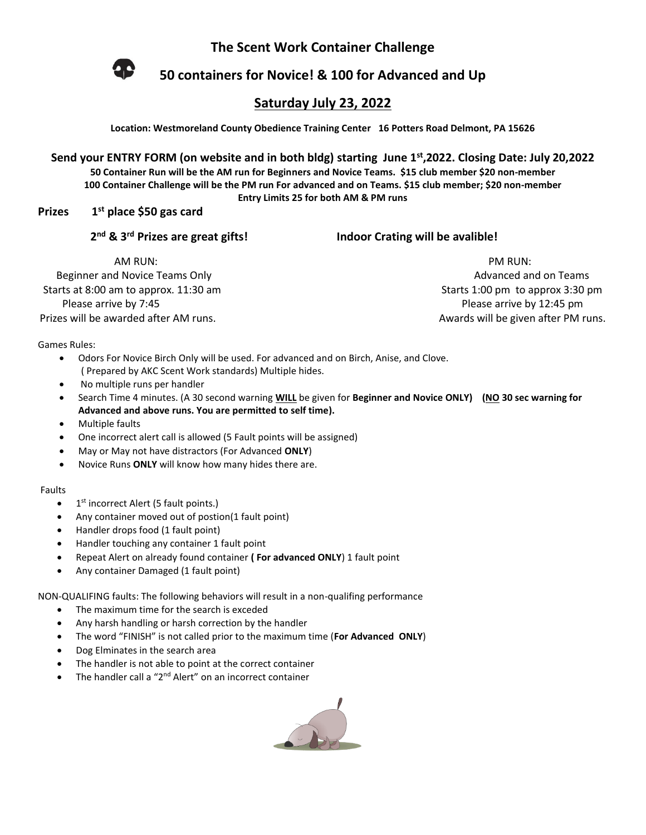**The Scent Work Container Challenge**



**50 containers for Novice! & 100 for Advanced and Up**

## **Saturday July 23, 2022**

**Location: Westmoreland County Obedience Training Center 16 Potters Road Delmont, PA 15626**

**Send your ENTRY FORM (on website and in both bldg) starting June 1st,2022. Closing Date: July 20,2022 50 Container Run will be the AM run for Beginners and Novice Teams. \$15 club member \$20 non-member 100 Container Challenge will be the PM run For advanced and on Teams. \$15 club member; \$20 non-member Entry Limits 25 for both AM & PM runs**

**Prizes 1st place \$50 gas card** 

2<sup>nd</sup> & 3<sup>rd</sup> Prizes are great gifts!

**Indoor Crating will be avalible!** 

AM RUN: PM RUN: Beginner and Novice Teams Only Advanced and on Teams and only Advanced and on Teams Starts at 8:00 am to approx. 11:30 am Starts 1:00 pm to approx 3:30 pm Please arrive by 7:45 Please arrive by 12:45 pm

Prizes will be awarded after AM runs. Awards will be given after PM runs.

Games Rules:

- Odors For Novice Birch Only will be used. For advanced and on Birch, Anise, and Clove. ( Prepared by AKC Scent Work standards) Multiple hides.
- No multiple runs per handler
- Search Time 4 minutes. (A 30 second warning **WILL** be given for **Beginner and Novice ONLY) (NO 30 sec warning for Advanced and above runs. You are permitted to self time).**
- Multiple faults
- One incorrect alert call is allowed (5 Fault points will be assigned)
- May or May not have distractors (For Advanced **ONLY**)
- Novice Runs **ONLY** will know how many hides there are.

## Faults

- $\bullet$  1<sup>st</sup> incorrect Alert (5 fault points.)
- Any container moved out of postion(1 fault point)
- Handler drops food (1 fault point)
- Handler touching any container 1 fault point
- Repeat Alert on already found container **( For advanced ONLY**) 1 fault point
- Any container Damaged (1 fault point)

NON-QUALIFING faults: The following behaviors will result in a non-qualifing performance

- The maximum time for the search is exceded
- Any harsh handling or harsh correction by the handler
- The word "FINISH" is not called prior to the maximum time (**For Advanced ONLY**)
- Dog Elminates in the search area
- The handler is not able to point at the correct container
- The handler call a "2<sup>nd</sup> Alert" on an incorrect container